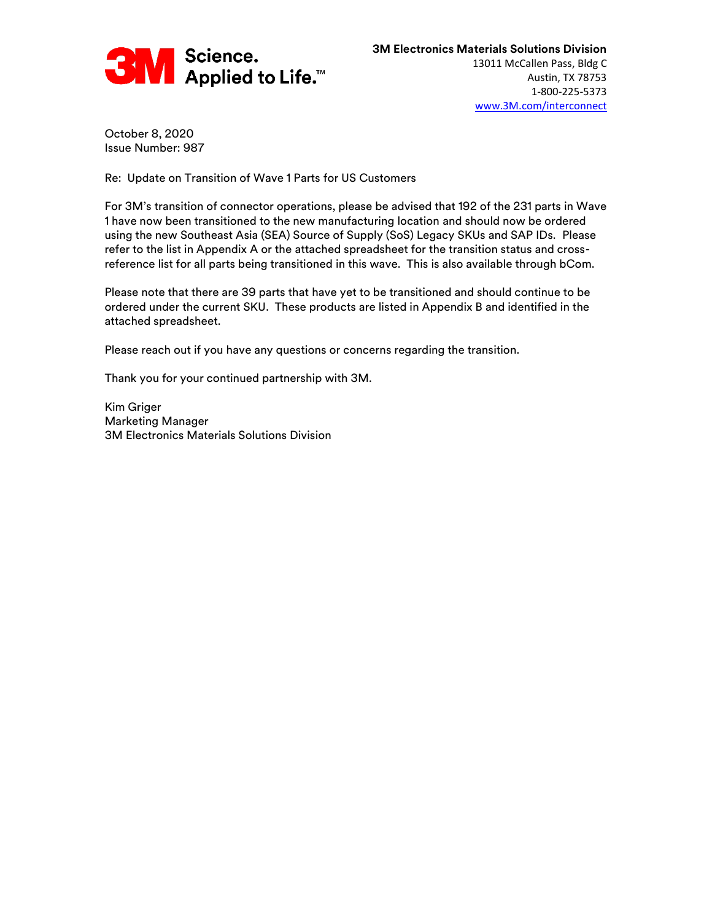

October 8, 2020 Issue Number: 987

Re: Update on Transition of Wave 1 Parts for US Customers

For 3M's transition of connector operations, please be advised that 192 of the 231 parts in Wave 1 have now been transitioned to the new manufacturing location and should now be ordered using the new Southeast Asia (SEA) Source of Supply (SoS) Legacy SKUs and SAP IDs. Please refer to the list in Appendix A or the attached spreadsheet for the transition status and crossreference list for all parts being transitioned in this wave. This is also available through bCom.

Please note that there are 39 parts that have yet to be transitioned and should continue to be ordered under the current SKU. These products are listed in Appendix B and identified in the attached spreadsheet.

Please reach out if you have any questions or concerns regarding the transition.

Thank you for your continued partnership with 3M.

Kim Griger Marketing Manager 3M Electronics Materials Solutions Division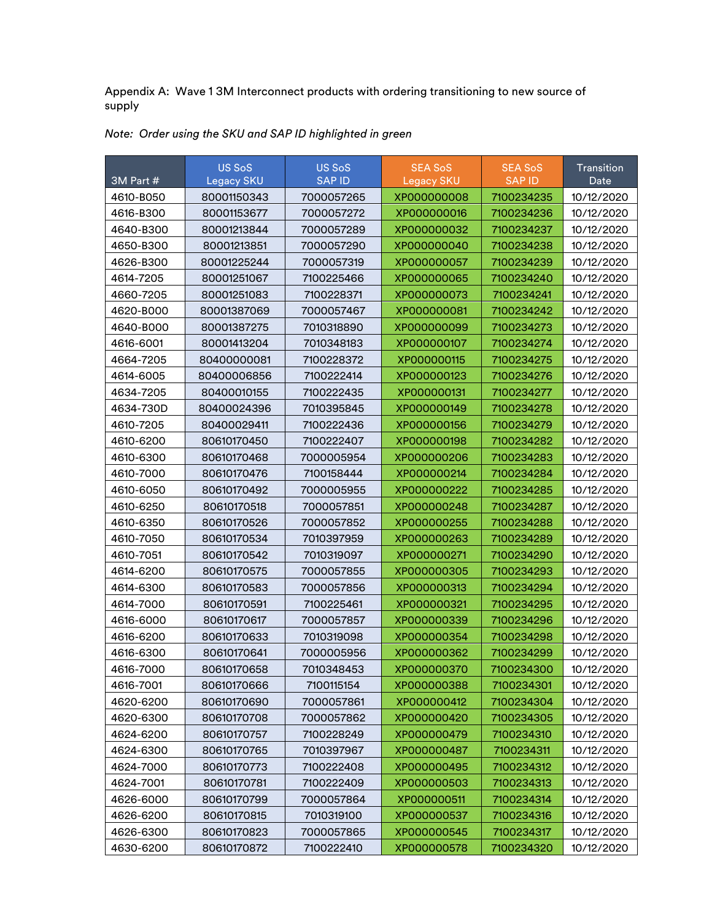Appendix A: Wave 1 3M Interconnect products with ordering transitioning to new source of supply

| 3M Part # | <b>US SoS</b><br><b>Legacy SKU</b> | <b>US SoS</b><br><b>SAP ID</b> | <b>SEA SoS</b><br><b>Legacy SKU</b> | <b>SEA SoS</b><br><b>SAP ID</b> | Transition<br>Date |
|-----------|------------------------------------|--------------------------------|-------------------------------------|---------------------------------|--------------------|
| 4610-B050 | 80001150343                        | 7000057265                     | XP000000008                         | 7100234235                      | 10/12/2020         |
| 4616-B300 | 80001153677                        | 7000057272                     | XP000000016                         | 7100234236                      | 10/12/2020         |
| 4640-B300 | 80001213844                        | 7000057289                     | XP000000032                         | 7100234237                      | 10/12/2020         |
| 4650-B300 | 80001213851                        | 7000057290                     | XP000000040                         | 7100234238                      | 10/12/2020         |
| 4626-B300 | 80001225244                        | 7000057319                     | XP000000057                         | 7100234239                      | 10/12/2020         |
| 4614-7205 | 80001251067                        | 7100225466                     | XP000000065                         | 7100234240                      | 10/12/2020         |
| 4660-7205 | 80001251083                        | 7100228371                     | XP000000073                         | 7100234241                      | 10/12/2020         |
| 4620-B000 | 80001387069                        | 7000057467                     | XP000000081                         | 7100234242                      | 10/12/2020         |
| 4640-B000 | 80001387275                        | 7010318890                     | XP000000099                         | 7100234273                      | 10/12/2020         |
| 4616-6001 | 80001413204                        | 7010348183                     | XP000000107                         | 7100234274                      | 10/12/2020         |
| 4664-7205 | 80400000081                        | 7100228372                     | XP000000115                         | 7100234275                      | 10/12/2020         |
| 4614-6005 | 80400006856                        | 7100222414                     | XP000000123                         | 7100234276                      | 10/12/2020         |
| 4634-7205 | 80400010155                        | 7100222435                     | XP000000131                         | 7100234277                      | 10/12/2020         |
| 4634-730D | 80400024396                        | 7010395845                     | XP000000149                         | 7100234278                      | 10/12/2020         |
| 4610-7205 | 80400029411                        | 7100222436                     | XP000000156                         | 7100234279                      | 10/12/2020         |
| 4610-6200 | 80610170450                        | 7100222407                     | XP000000198                         | 7100234282                      | 10/12/2020         |
| 4610-6300 | 80610170468                        | 7000005954                     | XP000000206                         | 7100234283                      | 10/12/2020         |
| 4610-7000 | 80610170476                        | 7100158444                     | XP000000214                         | 7100234284                      | 10/12/2020         |
| 4610-6050 | 80610170492                        | 7000005955                     | XP000000222                         | 7100234285                      | 10/12/2020         |
| 4610-6250 | 80610170518                        | 7000057851                     | XP000000248                         | 7100234287                      | 10/12/2020         |
| 4610-6350 | 80610170526                        | 7000057852                     | XP000000255                         | 7100234288                      | 10/12/2020         |
| 4610-7050 | 80610170534                        | 7010397959                     | XP000000263                         | 7100234289                      | 10/12/2020         |
| 4610-7051 | 80610170542                        | 7010319097                     | XP000000271                         | 7100234290                      | 10/12/2020         |
| 4614-6200 | 80610170575                        | 7000057855                     | XP000000305                         | 7100234293                      | 10/12/2020         |
| 4614-6300 | 80610170583                        | 7000057856                     | XP000000313                         | 7100234294                      | 10/12/2020         |
| 4614-7000 | 80610170591                        | 7100225461                     | XP000000321                         | 7100234295                      | 10/12/2020         |
| 4616-6000 | 80610170617                        | 7000057857                     | XP000000339                         | 7100234296                      | 10/12/2020         |
| 4616-6200 | 80610170633                        | 7010319098                     | XP000000354                         | 7100234298                      | 10/12/2020         |
| 4616-6300 | 80610170641                        | 7000005956                     | XP000000362                         | 7100234299                      | 10/12/2020         |
| 4616-7000 | 80610170658                        | 7010348453                     | XP000000370                         | 7100234300                      | 10/12/2020         |
| 4616-7001 | 80610170666                        | 7100115154                     | XP000000388                         | 7100234301                      | 10/12/2020         |
| 4620-6200 | 80610170690                        | 7000057861                     | XP000000412                         | 7100234304                      | 10/12/2020         |
| 4620-6300 | 80610170708                        | 7000057862                     | XP000000420                         | 7100234305                      | 10/12/2020         |
| 4624-6200 | 80610170757                        | 7100228249                     | XP000000479                         | 7100234310                      | 10/12/2020         |
| 4624-6300 | 80610170765                        | 7010397967                     | XP000000487                         | 7100234311                      | 10/12/2020         |
| 4624-7000 | 80610170773                        | 7100222408                     | XP000000495                         | 7100234312                      | 10/12/2020         |
| 4624-7001 | 80610170781                        | 7100222409                     | XP000000503                         | 7100234313                      | 10/12/2020         |
| 4626-6000 | 80610170799                        | 7000057864                     | XP000000511                         | 7100234314                      | 10/12/2020         |
| 4626-6200 | 80610170815                        | 7010319100                     | XP000000537                         | 7100234316                      | 10/12/2020         |
| 4626-6300 | 80610170823                        | 7000057865                     | XP000000545                         | 7100234317                      | 10/12/2020         |
| 4630-6200 | 80610170872                        | 7100222410                     | XP000000578                         | 7100234320                      | 10/12/2020         |

## *Note: Order using the SKU and SAP ID highlighted in green*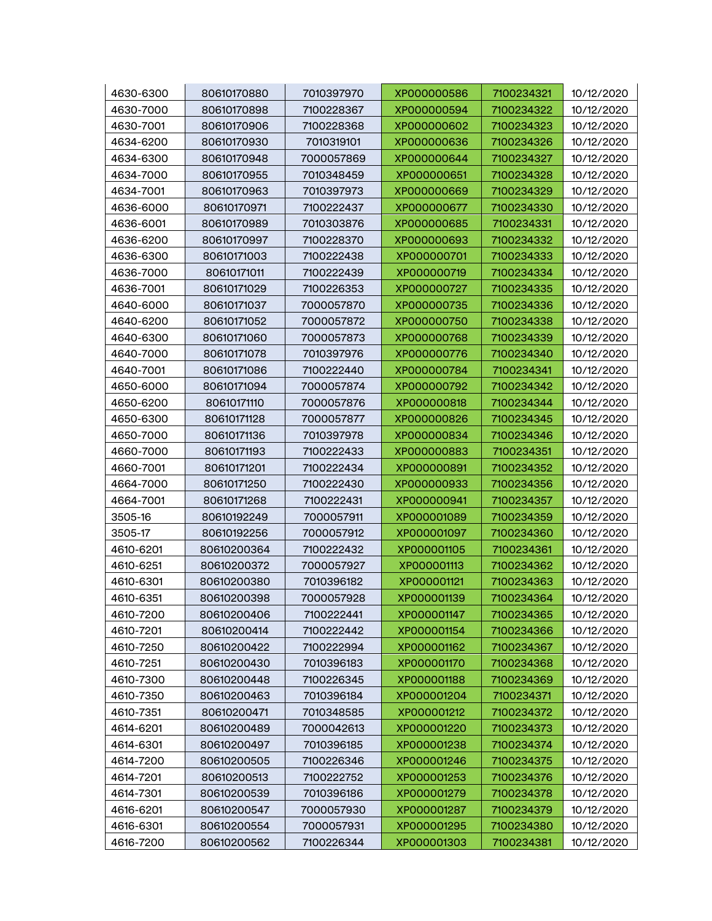| 4630-6300 | 80610170880 | 7010397970 | XP000000586 | 7100234321 | 10/12/2020 |
|-----------|-------------|------------|-------------|------------|------------|
| 4630-7000 | 80610170898 | 7100228367 | XP000000594 | 7100234322 | 10/12/2020 |
| 4630-7001 | 80610170906 | 7100228368 | XP000000602 | 7100234323 | 10/12/2020 |
| 4634-6200 | 80610170930 | 7010319101 | XP000000636 | 7100234326 | 10/12/2020 |
| 4634-6300 | 80610170948 | 7000057869 | XP000000644 | 7100234327 | 10/12/2020 |
| 4634-7000 | 80610170955 | 7010348459 | XP000000651 | 7100234328 | 10/12/2020 |
| 4634-7001 | 80610170963 | 7010397973 | XP000000669 | 7100234329 | 10/12/2020 |
| 4636-6000 | 80610170971 | 7100222437 | XP000000677 | 7100234330 | 10/12/2020 |
| 4636-6001 | 80610170989 | 7010303876 | XP000000685 | 7100234331 | 10/12/2020 |
| 4636-6200 | 80610170997 | 7100228370 | XP000000693 | 7100234332 | 10/12/2020 |
| 4636-6300 | 80610171003 | 7100222438 | XP000000701 | 7100234333 | 10/12/2020 |
| 4636-7000 | 80610171011 | 7100222439 | XP000000719 | 7100234334 | 10/12/2020 |
| 4636-7001 | 80610171029 | 7100226353 | XP000000727 | 7100234335 | 10/12/2020 |
| 4640-6000 | 80610171037 | 7000057870 | XP000000735 | 7100234336 | 10/12/2020 |
| 4640-6200 | 80610171052 | 7000057872 | XP000000750 | 7100234338 | 10/12/2020 |
| 4640-6300 | 80610171060 | 7000057873 | XP000000768 | 7100234339 | 10/12/2020 |
| 4640-7000 | 80610171078 | 7010397976 | XP000000776 | 7100234340 | 10/12/2020 |
| 4640-7001 | 80610171086 | 7100222440 | XP000000784 | 7100234341 | 10/12/2020 |
| 4650-6000 | 80610171094 | 7000057874 | XP000000792 | 7100234342 | 10/12/2020 |
| 4650-6200 | 80610171110 | 7000057876 | XP000000818 | 7100234344 | 10/12/2020 |
| 4650-6300 | 80610171128 | 7000057877 | XP000000826 | 7100234345 | 10/12/2020 |
| 4650-7000 | 80610171136 | 7010397978 | XP000000834 | 7100234346 | 10/12/2020 |
| 4660-7000 | 80610171193 | 7100222433 | XP000000883 | 7100234351 | 10/12/2020 |
| 4660-7001 | 80610171201 | 7100222434 | XP000000891 | 7100234352 | 10/12/2020 |
| 4664-7000 | 80610171250 | 7100222430 | XP000000933 | 7100234356 | 10/12/2020 |
| 4664-7001 | 80610171268 | 7100222431 | XP000000941 | 7100234357 | 10/12/2020 |
| 3505-16   | 80610192249 | 7000057911 | XP000001089 | 7100234359 | 10/12/2020 |
| 3505-17   | 80610192256 | 7000057912 | XP000001097 | 7100234360 | 10/12/2020 |
| 4610-6201 | 80610200364 | 7100222432 | XP000001105 | 7100234361 | 10/12/2020 |
| 4610-6251 | 80610200372 | 7000057927 | XP000001113 | 7100234362 | 10/12/2020 |
| 4610-6301 | 80610200380 | 7010396182 | XP000001121 | 7100234363 | 10/12/2020 |
| 4610-6351 | 80610200398 | 7000057928 | XP000001139 | 7100234364 | 10/12/2020 |
| 4610-7200 | 80610200406 | 7100222441 | XP000001147 | 7100234365 | 10/12/2020 |
| 4610-7201 | 80610200414 | 7100222442 | XP000001154 | 7100234366 | 10/12/2020 |
| 4610-7250 | 80610200422 | 7100222994 | XP000001162 | 7100234367 | 10/12/2020 |
| 4610-7251 | 80610200430 | 7010396183 | XP000001170 | 7100234368 | 10/12/2020 |
| 4610-7300 | 80610200448 | 7100226345 | XP000001188 | 7100234369 | 10/12/2020 |
| 4610-7350 | 80610200463 | 7010396184 | XP000001204 | 7100234371 | 10/12/2020 |
| 4610-7351 | 80610200471 | 7010348585 | XP000001212 | 7100234372 | 10/12/2020 |
| 4614-6201 | 80610200489 | 7000042613 | XP000001220 | 7100234373 | 10/12/2020 |
| 4614-6301 | 80610200497 | 7010396185 | XP000001238 | 7100234374 | 10/12/2020 |
| 4614-7200 | 80610200505 | 7100226346 | XP000001246 | 7100234375 | 10/12/2020 |
| 4614-7201 | 80610200513 | 7100222752 | XP000001253 | 7100234376 | 10/12/2020 |
| 4614-7301 | 80610200539 | 7010396186 | XP000001279 | 7100234378 | 10/12/2020 |
| 4616-6201 | 80610200547 | 7000057930 | XP000001287 | 7100234379 | 10/12/2020 |
| 4616-6301 | 80610200554 | 7000057931 | XP000001295 | 7100234380 | 10/12/2020 |
| 4616-7200 | 80610200562 | 7100226344 | XP000001303 | 7100234381 | 10/12/2020 |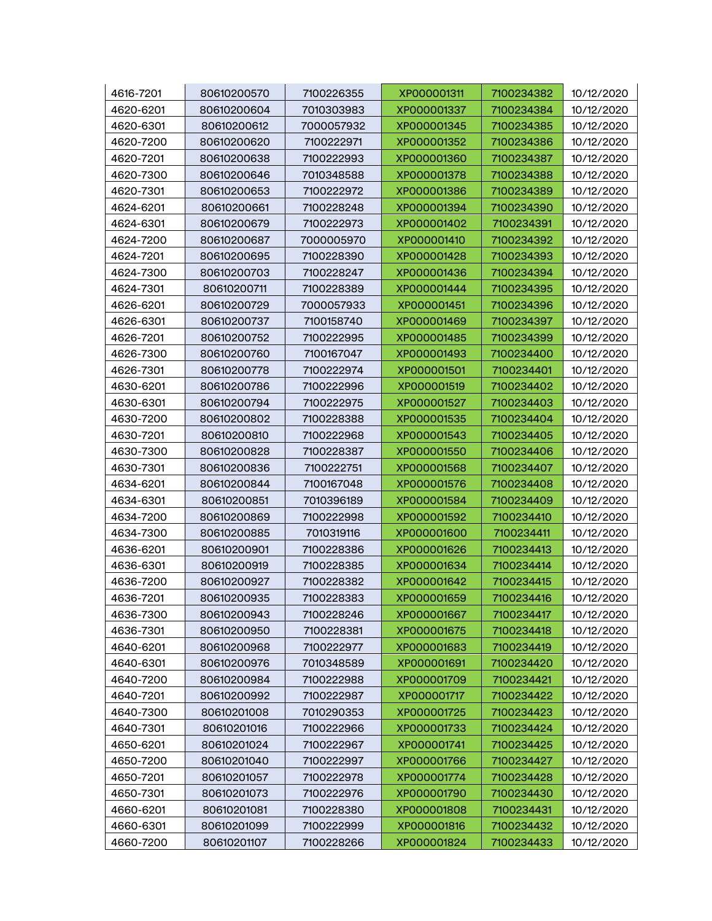| 4616-7201 | 80610200570 | 7100226355 | XP000001311 | 7100234382 | 10/12/2020 |
|-----------|-------------|------------|-------------|------------|------------|
| 4620-6201 | 80610200604 | 7010303983 | XP000001337 | 7100234384 | 10/12/2020 |
| 4620-6301 | 80610200612 | 7000057932 | XP000001345 | 7100234385 | 10/12/2020 |
| 4620-7200 | 80610200620 | 7100222971 | XP000001352 | 7100234386 | 10/12/2020 |
| 4620-7201 | 80610200638 | 7100222993 | XP000001360 | 7100234387 | 10/12/2020 |
| 4620-7300 | 80610200646 | 7010348588 | XP000001378 | 7100234388 | 10/12/2020 |
| 4620-7301 | 80610200653 | 7100222972 | XP000001386 | 7100234389 | 10/12/2020 |
| 4624-6201 | 80610200661 | 7100228248 | XP000001394 | 7100234390 | 10/12/2020 |
| 4624-6301 | 80610200679 | 7100222973 | XP000001402 | 7100234391 | 10/12/2020 |
| 4624-7200 | 80610200687 | 7000005970 | XP000001410 | 7100234392 | 10/12/2020 |
| 4624-7201 | 80610200695 | 7100228390 | XP000001428 | 7100234393 | 10/12/2020 |
| 4624-7300 | 80610200703 | 7100228247 | XP000001436 | 7100234394 | 10/12/2020 |
| 4624-7301 | 80610200711 | 7100228389 | XP000001444 | 7100234395 | 10/12/2020 |
| 4626-6201 | 80610200729 | 7000057933 | XP000001451 | 7100234396 | 10/12/2020 |
| 4626-6301 | 80610200737 | 7100158740 | XP000001469 | 7100234397 | 10/12/2020 |
| 4626-7201 | 80610200752 | 7100222995 | XP000001485 | 7100234399 | 10/12/2020 |
| 4626-7300 | 80610200760 | 7100167047 | XP000001493 | 7100234400 | 10/12/2020 |
| 4626-7301 | 80610200778 | 7100222974 | XP000001501 | 7100234401 | 10/12/2020 |
| 4630-6201 | 80610200786 | 7100222996 | XP000001519 | 7100234402 | 10/12/2020 |
| 4630-6301 | 80610200794 | 7100222975 | XP000001527 | 7100234403 | 10/12/2020 |
| 4630-7200 | 80610200802 | 7100228388 | XP000001535 | 7100234404 | 10/12/2020 |
| 4630-7201 | 80610200810 | 7100222968 | XP000001543 | 7100234405 | 10/12/2020 |
| 4630-7300 | 80610200828 | 7100228387 | XP000001550 | 7100234406 | 10/12/2020 |
| 4630-7301 | 80610200836 | 7100222751 | XP000001568 | 7100234407 | 10/12/2020 |
| 4634-6201 | 80610200844 | 7100167048 | XP000001576 | 7100234408 | 10/12/2020 |
| 4634-6301 | 80610200851 | 7010396189 | XP000001584 | 7100234409 | 10/12/2020 |
| 4634-7200 | 80610200869 | 7100222998 | XP000001592 | 7100234410 | 10/12/2020 |
| 4634-7300 | 80610200885 | 7010319116 | XP000001600 | 7100234411 | 10/12/2020 |
| 4636-6201 | 80610200901 | 7100228386 | XP000001626 | 7100234413 | 10/12/2020 |
| 4636-6301 | 80610200919 | 7100228385 | XP000001634 | 7100234414 | 10/12/2020 |
| 4636-7200 | 80610200927 | 7100228382 | XP000001642 | 7100234415 | 10/12/2020 |
| 4636-7201 | 80610200935 | 7100228383 | XP000001659 | 7100234416 | 10/12/2020 |
| 4636-7300 | 80610200943 | 7100228246 | XP000001667 | 7100234417 | 10/12/2020 |
| 4636-7301 | 80610200950 | 7100228381 | XP000001675 | 7100234418 | 10/12/2020 |
| 4640-6201 | 80610200968 | 7100222977 | XP000001683 | 7100234419 | 10/12/2020 |
| 4640-6301 | 80610200976 | 7010348589 | XP000001691 | 7100234420 | 10/12/2020 |
| 4640-7200 | 80610200984 | 7100222988 | XP000001709 | 7100234421 | 10/12/2020 |
| 4640-7201 | 80610200992 | 7100222987 | XP000001717 | 7100234422 | 10/12/2020 |
| 4640-7300 | 80610201008 | 7010290353 | XP000001725 | 7100234423 | 10/12/2020 |
| 4640-7301 | 80610201016 | 7100222966 | XP000001733 | 7100234424 | 10/12/2020 |
| 4650-6201 | 80610201024 | 7100222967 | XP000001741 | 7100234425 | 10/12/2020 |
| 4650-7200 | 80610201040 | 7100222997 | XP000001766 | 7100234427 | 10/12/2020 |
| 4650-7201 | 80610201057 | 7100222978 | XP000001774 | 7100234428 | 10/12/2020 |
| 4650-7301 | 80610201073 | 7100222976 | XP000001790 | 7100234430 | 10/12/2020 |
| 4660-6201 | 80610201081 | 7100228380 | XP000001808 | 7100234431 | 10/12/2020 |
| 4660-6301 | 80610201099 | 7100222999 | XP000001816 | 7100234432 | 10/12/2020 |
| 4660-7200 | 80610201107 | 7100228266 | XP000001824 | 7100234433 | 10/12/2020 |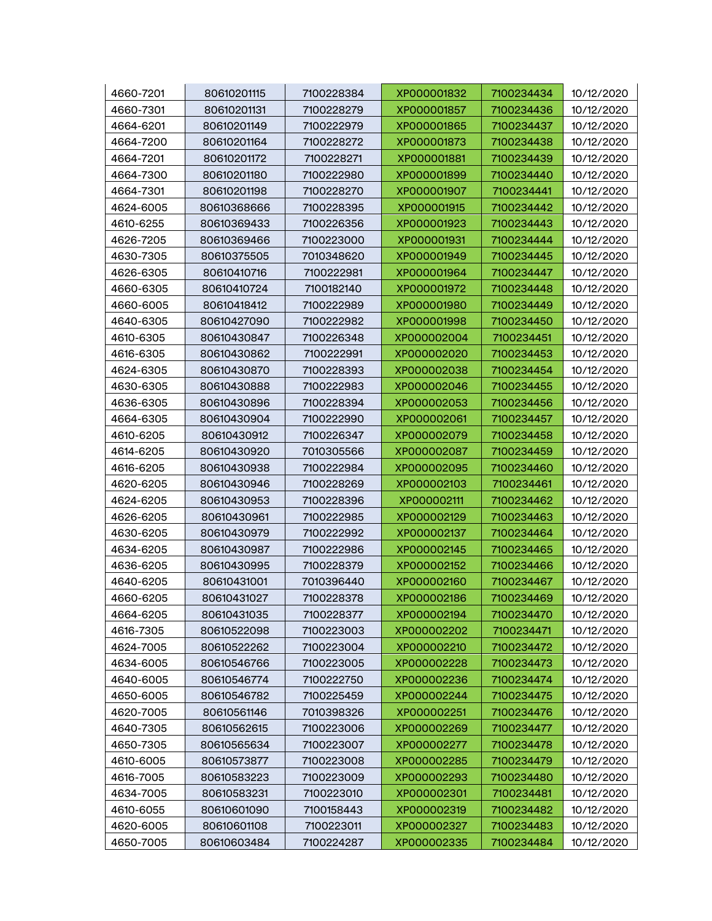| 4660-7201              | 80610201115                | 7100228384               | XP000001832                | 7100234434               | 10/12/2020               |
|------------------------|----------------------------|--------------------------|----------------------------|--------------------------|--------------------------|
| 4660-7301              | 80610201131                | 7100228279               | XP000001857                | 7100234436               | 10/12/2020               |
| 4664-6201              | 80610201149                | 7100222979               | XP000001865                | 7100234437               | 10/12/2020               |
| 4664-7200              | 80610201164                | 7100228272               | XP000001873                | 7100234438               | 10/12/2020               |
| 4664-7201              | 80610201172                | 7100228271               | XP000001881                | 7100234439               | 10/12/2020               |
| 4664-7300              | 80610201180                | 7100222980               | XP000001899                | 7100234440               | 10/12/2020               |
| 4664-7301              | 80610201198                | 7100228270               | XP000001907                | 7100234441               | 10/12/2020               |
| 4624-6005              | 80610368666                | 7100228395               | XP000001915                | 7100234442               | 10/12/2020               |
| 4610-6255              | 80610369433                | 7100226356               | XP000001923                | 7100234443               | 10/12/2020               |
| 4626-7205              | 80610369466                | 7100223000               | XP000001931                | 7100234444               | 10/12/2020               |
| 4630-7305              | 80610375505                | 7010348620               | XP000001949                | 7100234445               | 10/12/2020               |
| 4626-6305              | 80610410716                | 7100222981               | XP000001964                | 7100234447               | 10/12/2020               |
| 4660-6305              | 80610410724                | 7100182140               | XP000001972                | 7100234448               | 10/12/2020               |
| 4660-6005              | 80610418412                | 7100222989               | XP000001980                | 7100234449               | 10/12/2020               |
| 4640-6305              | 80610427090                | 7100222982               | XP000001998                | 7100234450               | 10/12/2020               |
| 4610-6305              | 80610430847                | 7100226348               | XP000002004                | 7100234451               | 10/12/2020               |
| 4616-6305              | 80610430862                | 7100222991               | XP000002020                | 7100234453               | 10/12/2020               |
| 4624-6305              | 80610430870                | 7100228393               | XP000002038                | 7100234454               | 10/12/2020               |
| 4630-6305              | 80610430888                | 7100222983               | XP000002046                | 7100234455               | 10/12/2020               |
| 4636-6305              | 80610430896                | 7100228394               | XP000002053                | 7100234456               | 10/12/2020               |
| 4664-6305              | 80610430904                | 7100222990               | XP000002061                | 7100234457               | 10/12/2020               |
| 4610-6205              | 80610430912                | 7100226347               | XP000002079                | 7100234458               | 10/12/2020               |
| 4614-6205              | 80610430920                | 7010305566               | XP000002087                | 7100234459               | 10/12/2020               |
| 4616-6205              | 80610430938                | 7100222984               | XP000002095                | 7100234460               | 10/12/2020               |
| 4620-6205              | 80610430946                | 7100228269               | XP000002103                | 7100234461               | 10/12/2020               |
| 4624-6205              | 80610430953                | 7100228396               | XP000002111                | 7100234462               | 10/12/2020               |
| 4626-6205              | 80610430961                | 7100222985               | XP000002129                | 7100234463               | 10/12/2020               |
| 4630-6205              | 80610430979                | 7100222992               | XP000002137                | 7100234464               | 10/12/2020               |
| 4634-6205              | 80610430987                | 7100222986               | XP000002145                | 7100234465               | 10/12/2020               |
| 4636-6205              | 80610430995                | 7100228379               | XP000002152                | 7100234466               | 10/12/2020               |
| 4640-6205              | 80610431001                | 7010396440               | XP000002160                | 7100234467               | 10/12/2020               |
| 4660-6205              | 80610431027                | 7100228378               | XP000002186                | 7100234469               | 10/12/2020               |
| 4664-6205              | 80610431035                | 7100228377               | XP000002194                | 7100234470               | 10/12/2020               |
| 4616-7305              | 80610522098                | 7100223003               | XP000002202                | 7100234471               | 10/12/2020               |
| 4624-7005              | 80610522262                | 7100223004               | XP000002210                | 7100234472               | 10/12/2020               |
| 4634-6005              | 80610546766                | 7100223005<br>7100222750 | XP000002228<br>XP000002236 | 7100234473               | 10/12/2020               |
| 4640-6005<br>4650-6005 | 80610546774                | 7100225459               | XP000002244                | 7100234474<br>7100234475 | 10/12/2020               |
| 4620-7005              | 80610546782<br>80610561146 | 7010398326               | XP000002251                | 7100234476               | 10/12/2020               |
|                        |                            |                          | XP000002269                |                          | 10/12/2020               |
| 4640-7305<br>4650-7305 | 80610562615<br>80610565634 | 7100223006<br>7100223007 | XP000002277                | 7100234477<br>7100234478 | 10/12/2020<br>10/12/2020 |
|                        |                            |                          | XP000002285                |                          |                          |
| 4610-6005<br>4616-7005 | 80610573877                | 7100223008<br>7100223009 |                            | 7100234479               | 10/12/2020               |
|                        | 80610583223<br>80610583231 | 7100223010               | XP000002293<br>XP000002301 | 7100234480<br>7100234481 | 10/12/2020               |
| 4634-7005<br>4610-6055 | 80610601090                | 7100158443               | XP000002319                | 7100234482               | 10/12/2020<br>10/12/2020 |
| 4620-6005              | 80610601108                | 7100223011               | XP000002327                | 7100234483               | 10/12/2020               |
| 4650-7005              | 80610603484                | 7100224287               | XP000002335                | 7100234484               | 10/12/2020               |
|                        |                            |                          |                            |                          |                          |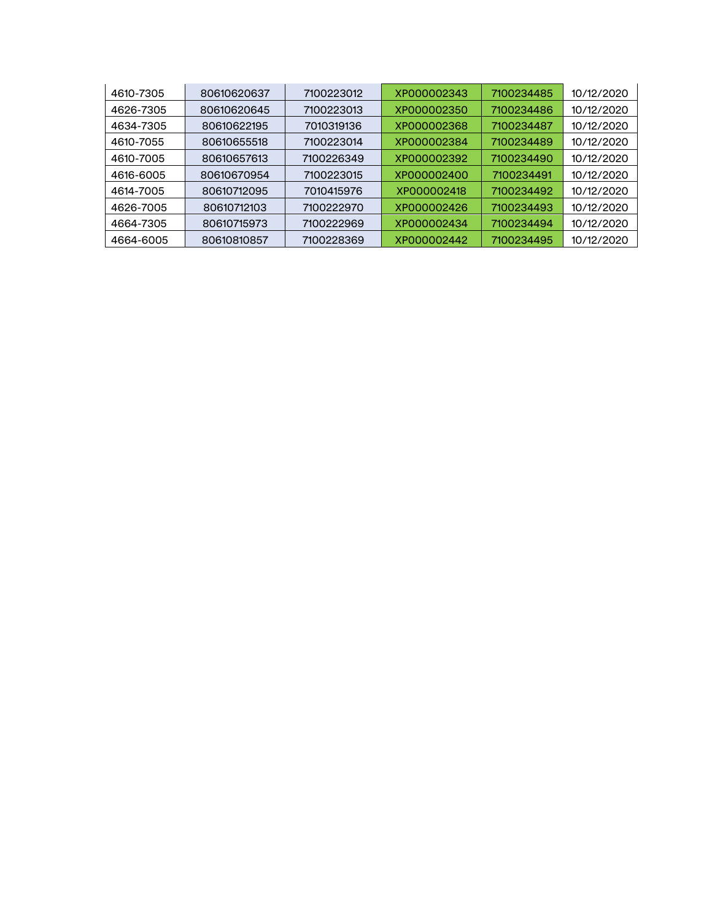| 4610-7305 | 80610620637 | 7100223012 | XP000002343 | 7100234485 | 10/12/2020 |
|-----------|-------------|------------|-------------|------------|------------|
| 4626-7305 | 80610620645 | 7100223013 | XP000002350 | 7100234486 | 10/12/2020 |
| 4634-7305 | 80610622195 | 7010319136 | XP000002368 | 7100234487 | 10/12/2020 |
| 4610-7055 | 80610655518 | 7100223014 | XP000002384 | 7100234489 | 10/12/2020 |
| 4610-7005 | 80610657613 | 7100226349 | XP000002392 | 7100234490 | 10/12/2020 |
| 4616-6005 | 80610670954 | 7100223015 | XP000002400 | 7100234491 | 10/12/2020 |
| 4614-7005 | 80610712095 | 7010415976 | XP000002418 | 7100234492 | 10/12/2020 |
| 4626-7005 | 80610712103 | 7100222970 | XP000002426 | 7100234493 | 10/12/2020 |
| 4664-7305 | 80610715973 | 7100222969 | XP000002434 | 7100234494 | 10/12/2020 |
| 4664-6005 | 80610810857 | 7100228369 | XP000002442 | 7100234495 | 10/12/2020 |